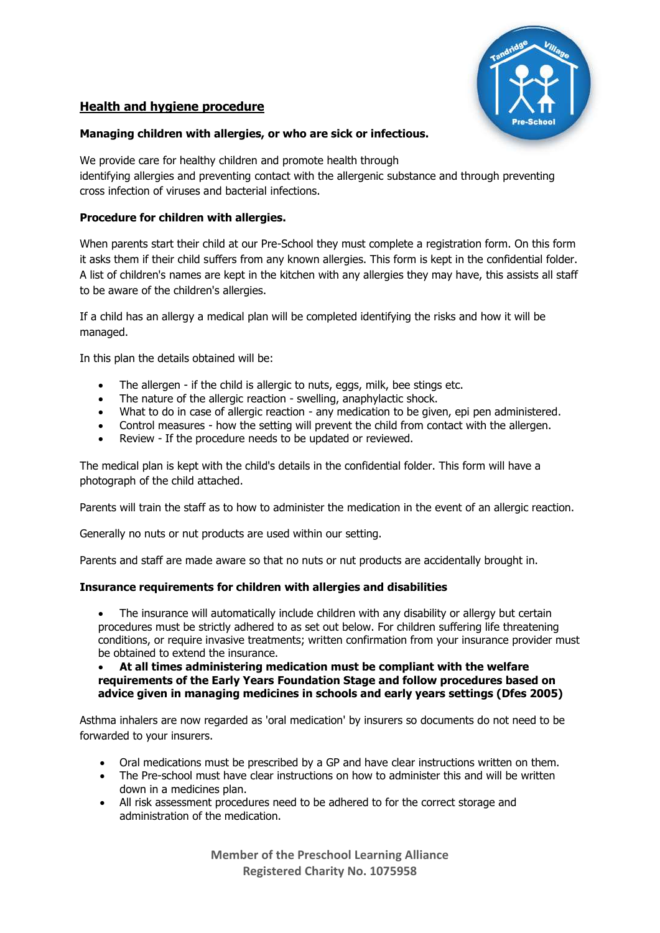

# **Health and hygiene procedure**

### **Managing children with allergies, or who are sick or infectious.**

We provide care for healthy children and promote health through identifying allergies and preventing contact with the allergenic substance and through preventing cross infection of viruses and bacterial infections.

## **Procedure for children with allergies.**

When parents start their child at our Pre-School they must complete a registration form. On this form it asks them if their child suffers from any known allergies. This form is kept in the confidential folder. A list of children's names are kept in the kitchen with any allergies they may have, this assists all staff to be aware of the children's allergies.

If a child has an allergy a medical plan will be completed identifying the risks and how it will be managed.

In this plan the details obtained will be:

- The allergen if the child is allergic to nuts, eggs, milk, bee stings etc.
- The nature of the allergic reaction swelling, anaphylactic shock.
- What to do in case of allergic reaction any medication to be given, epi pen administered.
- Control measures how the setting will prevent the child from contact with the allergen.
- Review If the procedure needs to be updated or reviewed.

The medical plan is kept with the child's details in the confidential folder. This form will have a photograph of the child attached.

Parents will train the staff as to how to administer the medication in the event of an allergic reaction.

Generally no nuts or nut products are used within our setting.

Parents and staff are made aware so that no nuts or nut products are accidentally brought in.

#### **Insurance requirements for children with allergies and disabilities**

• The insurance will automatically include children with any disability or allergy but certain procedures must be strictly adhered to as set out below. For children suffering life threatening conditions, or require invasive treatments; written confirmation from your insurance provider must be obtained to extend the insurance.

#### • **At all times administering medication must be compliant with the welfare requirements of the Early Years Foundation Stage and follow procedures based on advice given in managing medicines in schools and early years settings (Dfes 2005)**

Asthma inhalers are now regarded as 'oral medication' by insurers so documents do not need to be forwarded to your insurers.

- Oral medications must be prescribed by a GP and have clear instructions written on them.
- The Pre-school must have clear instructions on how to administer this and will be written down in a medicines plan.
- All risk assessment procedures need to be adhered to for the correct storage and administration of the medication.

**Member of the Preschool Learning Alliance Registered Charity No. 1075958**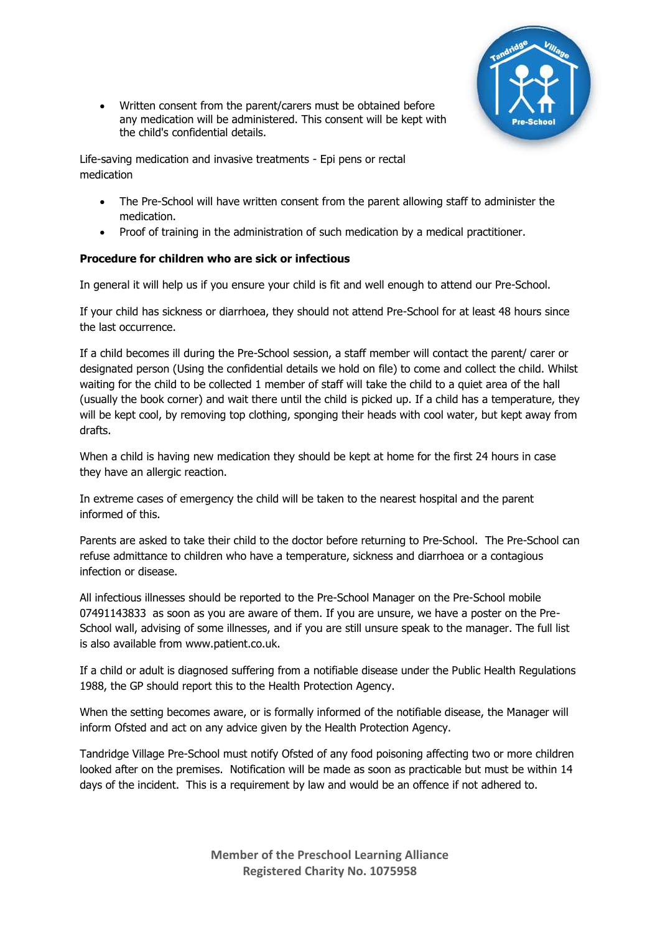

• Written consent from the parent/carers must be obtained before any medication will be administered. This consent will be kept with the child's confidential details.

Life-saving medication and invasive treatments - Epi pens or rectal medication

- The Pre-School will have written consent from the parent allowing staff to administer the medication.
- Proof of training in the administration of such medication by a medical practitioner.

# **Procedure for children who are sick or infectious**

In general it will help us if you ensure your child is fit and well enough to attend our Pre-School.

If your child has sickness or diarrhoea, they should not attend Pre-School for at least 48 hours since the last occurrence.

If a child becomes ill during the Pre-School session, a staff member will contact the parent/ carer or designated person (Using the confidential details we hold on file) to come and collect the child. Whilst waiting for the child to be collected 1 member of staff will take the child to a quiet area of the hall (usually the book corner) and wait there until the child is picked up. If a child has a temperature, they will be kept cool, by removing top clothing, sponging their heads with cool water, but kept away from drafts.

When a child is having new medication they should be kept at home for the first 24 hours in case they have an allergic reaction.

In extreme cases of emergency the child will be taken to the nearest hospital and the parent informed of this.

Parents are asked to take their child to the doctor before returning to Pre-School. The Pre-School can refuse admittance to children who have a temperature, sickness and diarrhoea or a contagious infection or disease.

All infectious illnesses should be reported to the Pre-School Manager on the Pre-School mobile 07491143833 as soon as you are aware of them. If you are unsure, we have a poster on the Pre-School wall, advising of some illnesses, and if you are still unsure speak to the manager. The full list is also available from www.patient.co.uk.

If a child or adult is diagnosed suffering from a notifiable disease under the Public Health Regulations 1988, the GP should report this to the Health Protection Agency.

When the setting becomes aware, or is formally informed of the notifiable disease, the Manager will inform Ofsted and act on any advice given by the Health Protection Agency.

Tandridge Village Pre-School must notify Ofsted of any food poisoning affecting two or more children looked after on the premises. Notification will be made as soon as practicable but must be within 14 days of the incident. This is a requirement by law and would be an offence if not adhered to.